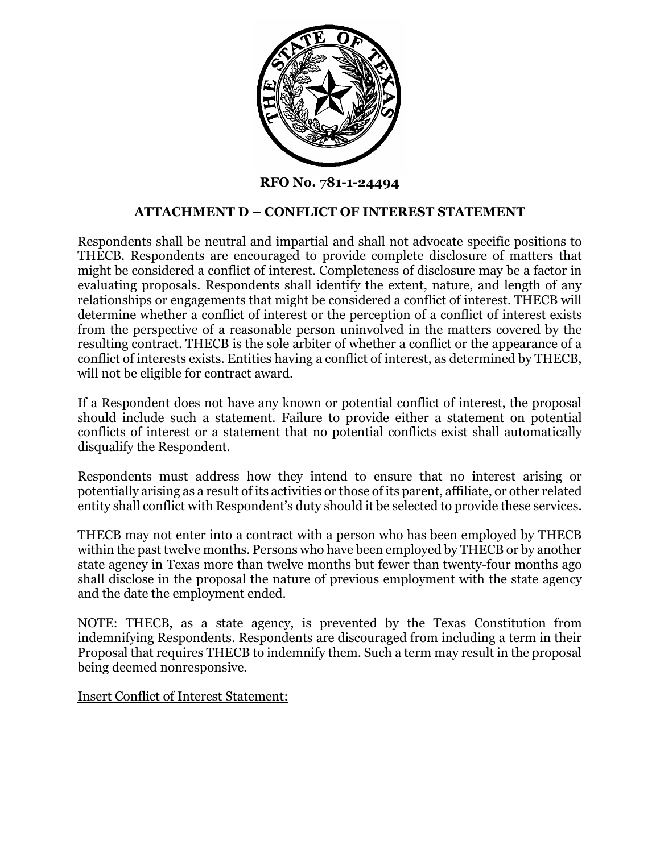

**RFO No. 781-1-24494**

## **ATTACHMENT D – CONFLICT OF INTEREST STATEMENT**

Respondents shall be neutral and impartial and shall not advocate specific positions to THECB. Respondents are encouraged to provide complete disclosure of matters that might be considered a conflict of interest. Completeness of disclosure may be a factor in evaluating proposals. Respondents shall identify the extent, nature, and length of any relationships or engagements that might be considered a conflict of interest. THECB will determine whether a conflict of interest or the perception of a conflict of interest exists from the perspective of a reasonable person uninvolved in the matters covered by the resulting contract. THECB is the sole arbiter of whether a conflict or the appearance of a conflict of interests exists. Entities having a conflict of interest, as determined by THECB, will not be eligible for contract award.

If a Respondent does not have any known or potential conflict of interest, the proposal should include such a statement. Failure to provide either a statement on potential conflicts of interest or a statement that no potential conflicts exist shall automatically disqualify the Respondent.

Respondents must address how they intend to ensure that no interest arising or potentially arising as a result of its activities or those of its parent, affiliate, or other related entity shall conflict with Respondent's duty should it be selected to provide these services.

THECB may not enter into a contract with a person who has been employed by THECB within the past twelve months. Persons who have been employed by THECB or by another state agency in Texas more than twelve months but fewer than twenty-four months ago shall disclose in the proposal the nature of previous employment with the state agency and the date the employment ended.

NOTE: THECB, as a state agency, is prevented by the Texas Constitution from indemnifying Respondents. Respondents are discouraged from including a term in their Proposal that requires THECB to indemnify them. Such a term may result in the proposal being deemed nonresponsive.

Insert Conflict of Interest Statement: